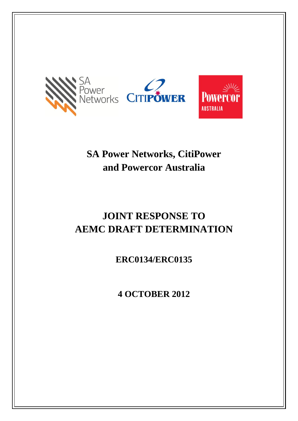

# **SA Power Networks, CitiPower and Powercor Australia**

# **JOINT RESPONSE TO AEMC DRAFT DETERMINATION**

**ERC0134/ERC0135**

**4 OCTOBER 2012**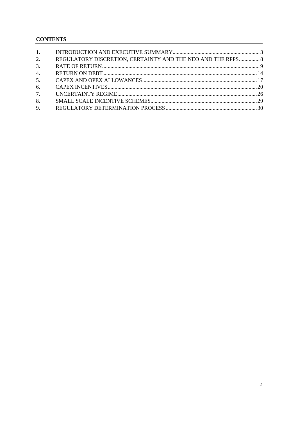# **CONTENTS**

| 1. |                                                             |  |
|----|-------------------------------------------------------------|--|
| 2. | REGULATORY DISCRETION, CERTAINTY AND THE NEO AND THE RPPS 8 |  |
| 3. |                                                             |  |
| 4. |                                                             |  |
| 5. |                                                             |  |
| 6. |                                                             |  |
| 7. |                                                             |  |
| 8. |                                                             |  |
| 9. |                                                             |  |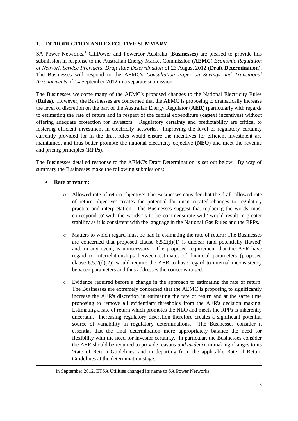#### <span id="page-2-0"></span>**1. INTRODUCTION AND EXECUTIVE SUMMARY**

SA Power Networks,<sup>1</sup> CitiPower and Powercor Australia (**Businesses**) are pleased to provide this submission in response to the Australian Energy Market Commission (**AEMC**) *Economic Regulation of Network Service Providers, Draft Rule Determination* of 23 August 2012 (**Draft Determination**). The Businesses will respond to the AEMC's *Consultation Paper on Savings and Transitional Arrangements* of 14 September 2012 in a separate submission.

The Businesses welcome many of the AEMC's proposed changes to the National Electricity Rules (**Rules**). However, the Businesses are concerned that the AEMC is proposing to dramatically increase the level of discretion on the part of the Australian Energy Regulator (**AER**) (particularly with regards to estimating the rate of return and in respect of the capital expenditure (**capex**) incentives) without offering adequate protection for investors. Regulatory certainty and predictability are critical to fostering efficient investment in electricity networks. Improving the level of regulatory certainty currently provided for in the draft rules would ensure the incentives for efficient investment are maintained, and thus better promote the national electricity objective (**NEO**) and meet the revenue and pricing principles (**RPPs**).

The Businesses detailed response to the AEMC's Draft Determination is set out below. By way of summary the Businesses make the following submissions:

# **Rate of return:**

-1

- Allowed rate of return objective: The Businesses consider that the draft 'allowed rate of return objective' creates the potential for unanticipated changes to regulatory practice and interpretation. The Businesses suggest that replacing the words 'must correspond to' with the words 'is to be commensurate with' would result in greater stability as it is consistent with the language in the National Gas Rules and the RPPs.
- o Matters to which regard must be had in estimating the rate of return: The Businesses are concerned that proposed clause  $6.5.2(d)(1)$  is unclear (and potentially flawed) and, in any event, is unnecessary. The proposed requirement that the AER have regard to interrelationships between estimates of financial parameters (proposed clause  $6.5.2(d)(2)$ ) would require the AER to have regard to internal inconsistency between parameters and thus addresses the concerns raised.
- o Evidence required before a change in the approach to estimating the rate of return: The Businesses are extremely concerned that the AEMC is proposing to significantly increase the AER's discretion in estimating the rate of return and at the same time proposing to remove all evidentiary thresholds from the AER's decision making. Estimating a rate of return which promotes the NEO and meets the RPPs is inherently uncertain. Increasing regulatory discretion therefore creates a significant potential source of variability in regulatory determinations. The Businesses consider it essential that the final determination more appropriately balance the need for flexibility with the need for investor certainty. In particular, the Businesses consider the AER should be required to provide reasons *and evidence* in making changes to its 'Rate of Return Guidelines' and in departing from the applicable Rate of Return Guidelines at the determination stage.

In September 2012, ETSA Utilities changed its name to SA Power Networks.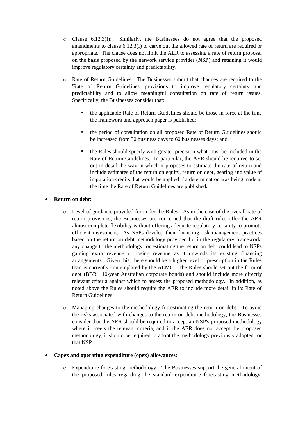- $\circ$  Clause 6.12.3(f): Similarly, the Businesses do not agree that the proposed amendments to clause 6.12.3(f) to carve out the allowed rate of return are required or appropriate. The clause does not limit the AER to assessing a rate of return proposal on the basis proposed by the network service provider (**NSP**) and retaining it would improve regulatory certainty and predictability.
- o Rate of Return Guidelines: The Businesses submit that changes are required to the 'Rate of Return Guidelines' provisions to improve regulatory certainty and predictability and to allow meaningful consultation on rate of return issues. Specifically, the Businesses consider that:
	- the applicable Rate of Return Guidelines should be those in force at the time the framework and approach paper is published;
	- **the period of consultation on all proposed Rate of Return Guidelines should** be increased from 30 business days to 60 businesses days; and
	- the Rules should specify with greater precision what must be included in the Rate of Return Guidelines. In particular, the AER should be required to set out in detail the way in which it proposes to estimate the rate of return and include estimates of the return on equity, return on debt, gearing and value of imputation credits that would be applied if a determination was being made at the time the Rate of Return Guidelines are published.

# **Return on debt:**

- o Level of guidance provided for under the Rules: As in the case of the overall rate of return provisions, the Businesses are concerned that the draft rules offer the AER almost complete flexibility without offering adequate regulatory certainty to promote efficient investment. As NSPs develop their financing risk management practices based on the return on debt methodology provided for in the regulatory framework, any change to the methodology for estimating the return on debt could lead to NSPs gaining extra revenue or losing revenue as it unwinds its existing financing arrangements. Given this, there should be a higher level of prescription in the Rules than is currently contemplated by the AEMC. The Rules should set out the form of debt (BBB+ 10-year Australian corporate bonds) and should include more directly relevant criteria against which to assess the proposed methodology. In addition, as noted above the Rules should require the AER to include more detail in its Rate of Return Guidelines.
- o Managing changes to the methodology for estimating the return on debt: To avoid the risks associated with changes to the return on debt methodology, the Businesses consider that the AER should be required to accept an NSP's proposed methodology where it meets the relevant criteria, and if the AER does not accept the proposed methodology, it should be required to adopt the methodology previously adopted for that NSP.

# **Capex and operating expenditure (opex) allowances:**

o Expenditure forecasting methodology: The Businesses support the general intent of the proposed rules regarding the standard expenditure forecasting methodology.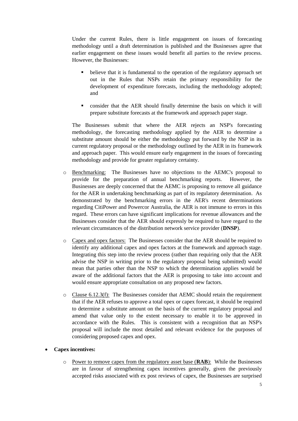Under the current Rules, there is little engagement on issues of forecasting methodology until a draft determination is published and the Businesses agree that earlier engagement on these issues would benefit all parties to the review process. However, the Businesses:

- believe that it is fundamental to the operation of the regulatory approach set out in the Rules that NSPs retain the primary responsibility for the development of expenditure forecasts, including the methodology adopted; and
- consider that the AER should finally determine the basis on which it will prepare substitute forecasts at the framework and approach paper stage.

The Businesses submit that where the AER rejects an NSP's forecasting methodology, the forecasting methodology applied by the AER to determine a substitute amount should be either the methodology put forward by the NSP in its current regulatory proposal or the methodology outlined by the AER in its framework and approach paper. This would ensure early engagement in the issues of forecasting methodology and provide for greater regulatory certainty.

- o Benchmarking: The Businesses have no objections to the AEMC's proposal to provide for the preparation of annual benchmarking reports. However, the Businesses are deeply concerned that the AEMC is proposing to remove all guidance for the AER in undertaking benchmarking as part of its regulatory determination. As demonstrated by the benchmarking errors in the AER's recent determinations regarding CitiPower and Powercor Australia, the AER is not immune to errors in this regard. These errors can have significant implications for revenue allowances and the Businesses consider that the AER should expressly be required to have regard to the relevant circumstances of the distribution network service provider (**DNSP**).
- o Capex and opex factors: The Businesses consider that the AER should be required to identify any additional capex and opex factors at the framework and approach stage. Integrating this step into the review process (rather than requiring only that the AER advise the NSP in writing prior to the regulatory proposal being submitted) would mean that parties other than the NSP to which the determination applies would be aware of the additional factors that the AER is proposing to take into account and would ensure appropriate consultation on any proposed new factors.
- $\circ$  Clause 6.12.3(f): The Businesses consider that AEMC should retain the requirement that if the AER refuses to approve a total opex or capex forecast, it should be required to determine a substitute amount on the basis of the current regulatory proposal and amend that value only to the extent necessary to enable it to be approved in accordance with the Rules. This is consistent with a recognition that an NSP's proposal will include the most detailed and relevant evidence for the purposes of considering proposed capex and opex.

#### **Capex incentives:**

o Power to remove capex from the regulatory asset base (**RAB**): While the Businesses are in favour of strengthening capex incentives generally, given the previously accepted risks associated with ex post reviews of capex, the Businesses are surprised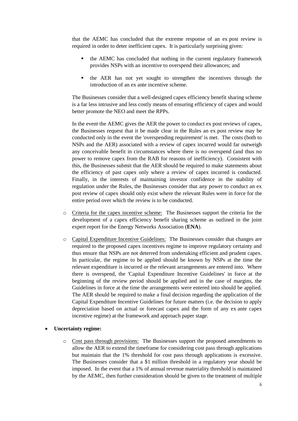that the AEMC has concluded that the extreme response of an ex post review is required in order to deter inefficient capex. It is particularly surprising given:

- the AEMC has concluded that nothing in the current regulatory framework provides NSPs with an incentive to overspend their allowances; and
- **the AER** has not yet sought to strengthen the incentives through the introduction of an ex ante incentive scheme.

The Businesses consider that a well-designed capex efficiency benefit sharing scheme is a far less intrusive and less costly means of ensuring efficiency of capex and would better promote the NEO and meet the RPPs.

In the event the AEMC gives the AER the power to conduct ex post reviews of capex, the Businesses request that it be made clear in the Rules an ex post review may be conducted only in the event the 'overspending requirement' is met. The costs (both to NSPs and the AER) associated with a review of capex incurred would far outweigh any conceivable benefit in circumstances where there is no overspend (and thus no power to remove capex from the RAB for reasons of inefficiency). Consistent with this, the Businesses submit that the AER should be required to make statements about the efficiency of past capex only where a review of capex incurred is conducted. Finally, in the interests of maintaining investor confidence in the stability of regulation under the Rules, the Businesses consider that any power to conduct an ex post review of capex should only exist where the relevant Rules were in force for the entire period over which the review is to be conducted.

- o Criteria for the capex incentive scheme: The Businesses support the criteria for the development of a capex efficiency benefit sharing scheme as outlined in the joint expert report for the Energy Networks Association (**ENA**).
- o Capital Expenditure Incentive Guidelines: The Businesses consider that changes are required to the proposed capex incentives regime to improve regulatory certainty and thus ensure that NSPs are not deterred from undertaking efficient and prudent capex. In particular, the regime to be applied should be known by NSPs at the time the relevant expenditure is incurred or the relevant arrangements are entered into. Where there is overspend, the 'Capital Expenditure Incentive Guidelines' in force at the beginning of the review period should be applied and in the case of margins, the Guidelines in force at the time the arrangements were entered into should be applied. The AER should be required to make a final decision regarding the application of the Capital Expenditure Incentive Guidelines for future matters (i.e. the decision to apply depreciation based on actual or forecast capex and the form of any ex ante capex incentive regime) at the framework and approach paper stage.
- **Uncertainty regime:**
	- o Cost pass through provisions: The Businesses support the proposed amendments to allow the AER to extend the timeframe for considering cost pass through applications but maintain that the 1% threshold for cost pass through applications is excessive. The Businesses consider that a \$1 million threshold in a regulatory year should be imposed. In the event that a 1% of annual revenue materiality threshold is maintained by the AEMC, then further consideration should be given to the treatment of multiple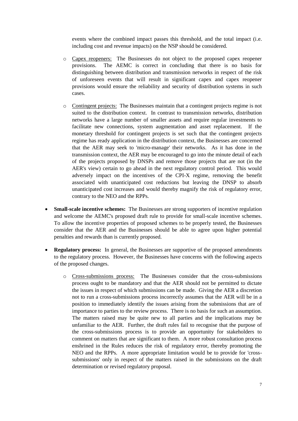events where the combined impact passes this threshold, and the total impact (i.e. including cost and revenue impacts) on the NSP should be considered.

- o Capex reopeners: The Businesses do not object to the proposed capex reopener provisions. The AEMC is correct in concluding that there is no basis for distinguishing between distribution and transmission networks in respect of the risk of unforeseen events that will result in significant capex and capex reopener provisions would ensure the reliability and security of distribution systems in such cases.
- o Contingent projects: The Businesses maintain that a contingent projects regime is not suited to the distribution context. In contrast to transmission networks, distribution networks have a large number of smaller assets and require regular investments to facilitate new connections, system augmentation and asset replacement. If the monetary threshold for contingent projects is set such that the contingent projects regime has ready application in the distribution context, the Businesses are concerned that the AER may seek to 'micro-manage' their networks. As it has done in the transmission context, the AER may be encouraged to go into the minute detail of each of the projects proposed by DNSPs and remove those projects that are not (in the AER's view) certain to go ahead in the next regulatory control period. This would adversely impact on the incentives of the CPI-X regime, removing the benefit associated with unanticipated cost reductions but leaving the DNSP to absorb unanticipated cost increases and would thereby magnify the risk of regulatory error, contrary to the NEO and the RPPs.
- **Small-scale incentive schemes:** The Businesses are strong supporters of incentive regulation and welcome the AEMC's proposed draft rule to provide for small-scale incentive schemes. To allow the incentive properties of proposed schemes to be properly tested, the Businesses consider that the AER and the Businesses should be able to agree upon higher potential penalties and rewards than is currently proposed.
- **Regulatory process:** In general, the Businesses are supportive of the proposed amendments to the regulatory process. However, the Businesses have concerns with the following aspects of the proposed changes.
	- o Cross-submissions process: The Businesses consider that the cross-submissions process ought to be mandatory and that the AER should not be permitted to dictate the issues in respect of which submissions can be made. Giving the AER a discretion not to run a cross-submissions process incorrectly assumes that the AER will be in a position to immediately identify the issues arising from the submissions that are of importance to parties to the review process. There is no basis for such an assumption. The matters raised may be quite new to all parties and the implications may be unfamiliar to the AER. Further, the draft rules fail to recognise that the purpose of the cross-submissions process is to provide an opportunity for stakeholders to comment on matters that are significant to them. A more robust consultation process enshrined in the Rules reduces the risk of regulatory error, thereby promoting the NEO and the RPPs. A more appropriate limitation would be to provide for 'crosssubmissions' only in respect of the matters raised in the submissions on the draft determination or revised regulatory proposal.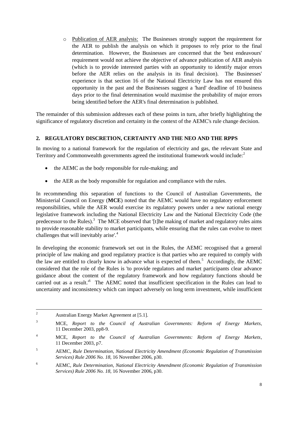o Publication of AER analysis: The Businesses strongly support the requirement for the AER to publish the analysis on which it proposes to rely prior to the final determination. However, the Businesses are concerned that the 'best endeavours' requirement would not achieve the objective of advance publication of AER analysis (which is to provide interested parties with an opportunity to identify major errors before the AER relies on the analysis in its final decision). The Businesses' experience is that section 16 of the National Electricity Law has not ensured this opportunity in the past and the Businesses suggest a 'hard' deadline of 10 business days prior to the final determination would maximise the probability of major errors being identified before the AER's final determination is published.

The remainder of this submission addresses each of these points in turn, after briefly highlighting the significance of regulatory discretion and certainty in the context of the AEMC's rule change decision.

# <span id="page-7-0"></span>**2. REGULATORY DISCRETION, CERTAINTY AND THE NEO AND THE RPPS**

In moving to a national framework for the regulation of electricity and gas, the relevant State and Territory and Commonwealth governments agreed the institutional framework would include:<sup>2</sup>

- the AEMC as the body responsible for rule-making; and
- the AER as the body responsible for regulation and compliance with the rules.

In recommending this separation of functions to the Council of Australian Governments, the Ministerial Council on Energy (**MCE**) noted that the AEMC would have no regulatory enforcement responsibilities, while the AER would exercise its regulatory powers under a new national energy legislative framework including the National Electricity Law and the National Electricity Code (the predecessor to the Rules).<sup>3</sup> The MCE observed that '[t]he making of market and regulatory rules aims to provide reasonable stability to market participants, while ensuring that the rules can evolve to meet challenges that will inevitably arise'.<sup>4</sup>

In developing the economic framework set out in the Rules, the AEMC recognised that a general principle of law making and good regulatory practice is that parties who are required to comply with the law are entitled to clearly know in advance what is expected of them.<sup>5</sup> Accordingly, the AEMC considered that the role of the Rules is 'to provide regulators and market participants clear advance guidance about the content of the regulatory framework and how regulatory functions should be carried out as a result.<sup>6</sup> The AEMC noted that insufficient specification in the Rules can lead to uncertainty and inconsistency which can impact adversely on long term investment, while insufficient

 $\overline{c}$ Australian Energy Market Agreement at [5.1].

<sup>3</sup> MCE, *Report to the Council of Australian Governments: Reform of Energy Markets*, 11 December 2003, pp8-9.

<sup>4</sup> MCE, *Report to the Council of Australian Governments: Reform of Energy Markets*, 11 December 2003, p7.

<sup>5</sup> AEMC, *Rule Determination, National Electricity Amendment (Economic Regulation of Transmission Services) Rule 2006 No. 18*, 16 November 2006, p30.

<sup>6</sup> AEMC, *Rule Determination, National Electricity Amendment (Economic Regulation of Transmission Services) Rule 2006 No. 18*, 16 November 2006, p30.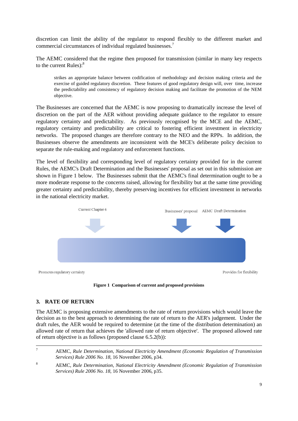discretion can limit the ability of the regulator to respond flexibly to the different market and commercial circumstances of individual regulated businesses.<sup>7</sup>

The AEMC considered that the regime then proposed for transmission (similar in many key respects to the current Rules):<sup>8</sup>

strikes an appropriate balance between codification of methodology and decision making criteria and the exercise of guided regulatory discretion. These features of good regulatory design will, over time, increase the predictability and consistency of regulatory decision making and facilitate the promotion of the NEM objective.

The Businesses are concerned that the AEMC is now proposing to dramatically increase the level of discretion on the part of the AER without providing adequate guidance to the regulator to ensure regulatory certainty and predictability. As previously recognised by the MCE and the AEMC, regulatory certainty and predictability are critical to fostering efficient investment in electricity networks. The proposed changes are therefore contrary to the NEO and the RPPs. In addition, the Businesses observe the amendments are inconsistent with the MCE's deliberate policy decision to separate the rule-making and regulatory and enforcement functions.

The level of flexibility and corresponding level of regulatory certainty provided for in the current Rules, the AEMC's Draft Determination and the Businesses' proposal as set out in this submission are shown in Figure 1 below. The Businesses submit that the AEMC's final determination ought to be a more moderate response to the concerns raised, allowing for flexibility but at the same time providing greater certainty and predictability, thereby preserving incentives for efficient investment in networks in the national electricity market.





# <span id="page-8-0"></span>**3. RATE OF RETURN**

The AEMC is proposing extensive amendments to the rate of return provisions which would leave the decision as to the best approach to determining the rate of return to the AER's judgement. Under the draft rules, the AER would be required to determine (at the time of the distribution determination) an allowed rate of return that achieves the 'allowed rate of return objective'. The proposed allowed rate of return objective is as follows (proposed clause 6.5.2(b)):

 $\overline{7}$ <sup>7</sup> AEMC, *Rule Determination, National Electricity Amendment (Economic Regulation of Transmission Services) Rule 2006 No. 18*, 16 November 2006, p34.

<sup>8</sup> AEMC, *Rule Determination, National Electricity Amendment (Economic Regulation of Transmission Services) Rule 2006 No. 18*, 16 November 2006, p35.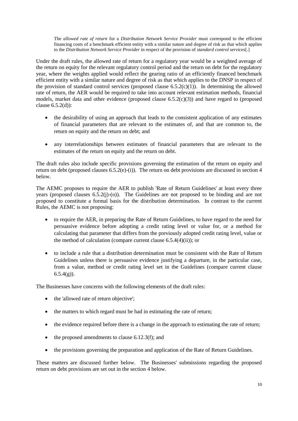The *allowed rate of return* for a *Distribution Network Service Provider* must correspond to the efficient financing costs of a benchmark efficient entity with a similar nature and degree of risk as that which applies to the *Distribution Network Service Provider* in respect of the provision of *standard control services*[.]

Under the draft rules, the allowed rate of return for a regulatory year would be a weighted average of the return on equity for the relevant regulatory control period and the return on debt for the regulatory year, where the weights applied would reflect the gearing ratio of an efficiently financed benchmark efficient entity with a similar nature and degree of risk as that which applies to the DNSP in respect of the provision of standard control services (proposed clause  $6.5.2(c)(1)$ ). In determining the allowed rate of return, the AER would be required to take into account relevant estimation methods, financial models, market data and other evidence (proposed clause 6.5.2(c)(3)) and have regard to (proposed clause 6.5.2(d)):

- the desirability of using an approach that leads to the consistent application of any estimates of financial parameters that are relevant to the estimates of, and that are common to, the return on equity and the return on debt; and
- any interrelationships between estimates of financial parameters that are relevant to the estimates of the return on equity and the return on debt.

The draft rules also include specific provisions governing the estimation of the return on equity and return on debt (proposed clauses  $6.5.2(e)$ -(i)). The return on debt provisions are discussed in section 4 [below.](#page-13-0)

The AEMC proposes to require the AER to publish 'Rate of Return Guidelines' at least every three years (proposed clauses 6.5.2(j)-(o)). The Guidelines are not proposed to be binding and are not proposed to constitute a formal basis for the distribution determination. In contrast to the current Rules, the AEMC is not proposing:

- to require the AER, in preparing the Rate of Return Guidelines, to have regard to the need for persuasive evidence before adopting a credit rating level or value for, or a method for calculating that parameter that differs from the previously adopted credit rating level, value or the method of calculation (compare current clause 6.5.4(4)(ii)); or
- to include a rule that a distribution determination must be consistent with the Rate of Return Guidelines unless there is persuasive evidence justifying a departure, in the particular case, from a value, method or credit rating level set in the Guidelines (compare current clause  $6.5.4(g)$ ).

The Businesses have concerns with the following elements of the draft rules:

- the 'allowed rate of return objective';
- the matters to which regard must be had in estimating the rate of return;
- the evidence required before there is a change in the approach to estimating the rate of return;
- $\bullet$  the proposed amendments to clause 6.12.3(f); and
- the provisions governing the preparation and application of the Rate of Return Guidelines.

These matters are discussed further below. The Businesses' submissions regarding the proposed return on debt provisions are set out in the section [4 below.](#page-13-0)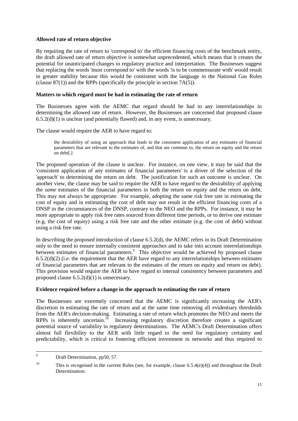#### **Allowed rate of return objective**

By requiring the rate of return to 'correspond to' the efficient financing costs of the benchmark entity, the draft allowed rate of return objective is somewhat unprecedented, which means that it creates the potential for unanticipated changes to regulatory practice and interpretation. The Businesses suggest that replacing the words 'must correspond to' with the words 'is to be commensurate with' would result in greater stability because this would be consistent with the language in the National Gas Rules (clause  $87(1)$ ) and the RPPs (specifically the principle in section  $7A(5)$ ).

#### **Matters to which regard must be had in estimating the rate of return**

The Businesses agree with the AEMC that regard should be had to any interrelationships in determining the allowed rate of return. However, the Businesses are concerned that proposed clause  $6.5.2(d)(1)$  is unclear (and potentially flawed) and, in any event, is unnecessary.

The clause would require the AER to have regard to:

the desirability of using an approach that leads to the consistent application of any estimates of financial parameters that are relevant to the estimates of, and that are common to, the return on equity and the return on debt[.]

The proposed operation of the clause is unclear. For instance, on one view, it may be said that the 'consistent application of any estimates of financial parameters' is a driver of the selection of the 'approach' to determining the return on debt. The justification for such an outcome is unclear. On another view, the clause may be said to require the AER to have regard to the desirability of applying the *same* estimates of the financial parameters in both the return on equity and the return on debt. This may not always be appropriate. For example, adopting the same risk free rate in estimating the cost of equity and in estimating the cost of debt may not result in the efficient financing costs of a DNSP in the circumstances of the DNSP, contrary to the NEO and the RPPs. For instance, it may be more appropriate to apply risk free rates sourced from different time periods, or to derive one estimate (e.g. the cost of equity) using a risk free rate and the other estimate (e.g. the cost of debt) without using a risk free rate.

In describing the proposed introduction of clause 6.5.2(d), the AEMC refers in its Draft Determination only to the need to ensure internally consistent approaches and to take into account interrelationships between estimates of financial parameters.<sup>9</sup> This objective would be achieved by proposed clause  $6.5.2(d)(2)$  (i.e. the requirement that the AER have regard to any interrelationships between estimates of financial parameters that are relevant to the estimates of the return on equity and return on debt). This provision would require the AER to have regard to internal consistency between parameters and proposed clause 6.5.2(d)(1) is unnecessary.

#### **Evidence required before a change in the approach to estimating the rate of return**

The Businesses are extremely concerned that the AEMC is significantly increasing the AER's discretion in estimating the rate of return and at the same time removing all evidentiary thresholds from the AER's decision-making. Estimating a rate of return which promotes the NEO and meets the RPPs is inherently uncertain. $^{10}$  Increasing regulatory discretion therefore creates a significant potential source of variability in regulatory determinations. The AEMC's Draft Determination offers almost full flexibility to the AER with little regard to the need for regulatory certainty and predictability, which is critical to fostering efficient investment in networks and thus required to

 $\overline{9}$ Draft Determination, pp50, 57.

<sup>&</sup>lt;sup>10</sup> This is recognised in the current Rules (see, for example, clause  $6.5.4(e)(4)$ ) and throughout the Draft Determination.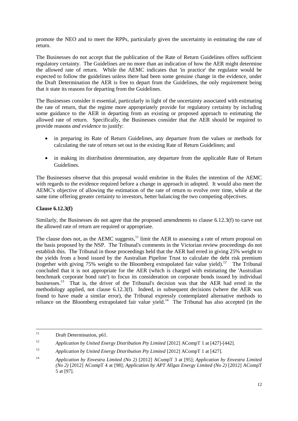promote the NEO and to meet the RPPs, particularly given the uncertainty in estimating the rate of return.

The Businesses do not accept that the publication of the Rate of Return Guidelines offers sufficient regulatory certainty. The Guidelines are no more than an indication of how the AER might determine the allowed rate of return. While the AEMC indicates that 'in practice' the regulator would be expected to follow the guidelines unless there had been some genuine change in the evidence, under the Draft Determination the AER is free to depart from the Guidelines, the only requirement being that it state its reasons for departing from the Guidelines.

The Businesses consider it essential, particularly in light of the uncertainty associated with estimating the rate of return, that the regime more appropriately provide for regulatory certainty by including some guidance to the AER in departing from an existing or proposed approach to estimating the allowed rate of return. Specifically, the Businesses consider that the AER should be required to provide reasons *and evidence* to justify:

- in preparing its Rate of Return Guidelines, any departure from the values or methods for calculating the rate of return set out in the existing Rate of Return Guidelines; and
- in making its distribution determination, any departure from the applicable Rate of Return Guidelines.

The Businesses observe that this proposal would enshrine in the Rules the intention of the AEMC with regards to the evidence required before a change in approach in adopted. It would also meet the AEMC's objective of allowing the estimation of the rate of return to evolve over time, while at the same time offering greater certainty to investors, better balancing the two competing objectives.

### **Clause 6.12.3(f)**

Similarly, the Businesses do not agree that the proposed amendments to clause 6.12.3(f) to carve out the allowed rate of return are required or appropriate.

The clause does not, as the AEMC suggests, $<sup>11</sup>$  limit the AER to assessing a rate of return proposal on</sup> the basis proposed by the NSP. The Tribunal's comments in the Victorian review proceedings do not establish this. The Tribunal in those proceedings held that the AER had erred in giving 25% weight to the yields from a bond issued by the Australian Pipeline Trust to calculate the debt risk premium (together with giving 75% weight to the Bloomberg extrapolated fair value yield). 12 The Tribunal concluded that it is not appropriate for the AER (which is charged with estimating the 'Australian benchmark corporate bond rate') to focus its consideration on corporate bonds issued by individual businesses.<sup>13</sup> That is, the driver of the Tribunal's decision was that the AER had erred in the methodology applied, not clause 6.12.3(f). Indeed, in subsequent decisions (where the AER was found to have made a similar error), the Tribunal expressly contemplated alternative methods to reliance on the Bloomberg extrapolated fair value yield.<sup>14</sup> The Tribunal has also accepted (in the

 $11$ Draft Determination, p61.

<sup>&</sup>lt;sup>12</sup> *Application by United Energy Distribution Pty Limited* [2012] ACompT 1 at [427]-[442].

<sup>13</sup> *Application by United Energy Distribution Pty Limited* [2012] ACompT 1 at [427].

<sup>14</sup> *Application by Envestra Limited (No 2)* [2012] ACompT 3 at [95]; *Application by Envestra Limited (No 2)* [2012] ACompT 4 at [98]; *Application by APT Allgas Energy Limited (No 2)* [2012] ACompT 5 at [97].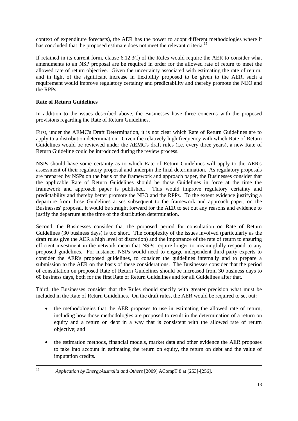context of expenditure forecasts), the AER has the power to adopt different methodologies where it has concluded that the proposed estimate does not meet the relevant criteria.<sup>15</sup>

If retained in its current form, clause 6.12.3(f) of the Rules would require the AER to consider what amendments to an NSP proposal are be required in order for the allowed rate of return to meet the allowed rate of return objective. Given the uncertainty associated with estimating the rate of return, and in light of the significant increase in flexibility proposed to be given to the AER, such a requirement would improve regulatory certainty and predictability and thereby promote the NEO and the RPPs.

# **Rate of Return Guidelines**

 $15$ 

In addition to the issues described above, the Businesses have three concerns with the proposed provisions regarding the Rate of Return Guidelines.

First, under the AEMC's Draft Determination, it is not clear which Rate of Return Guidelines are to apply to a distribution determination. Given the relatively high frequency with which Rate of Return Guidelines would be reviewed under the AEMC's draft rules (i.e. every three years), a new Rate of Return Guideline could be introduced during the review process.

NSPs should have some certainty as to which Rate of Return Guidelines will apply to the AER's assessment of their regulatory proposal and underpin the final determination. As regulatory proposals are prepared by NSPs on the basis of the framework and approach paper, the Businesses consider that the applicable Rate of Return Guidelines should be those Guidelines in force at the time the framework and approach paper is published. This would improve regulatory certainty and predictability and thereby better promote the NEO and the RPPs. To the extent evidence justifying a departure from those Guidelines arises subsequent to the framework and approach paper, on the Businesses' proposal, it would be straight forward for the AER to set out any reasons and evidence to justify the departure at the time of the distribution determination.

Second, the Businesses consider that the proposed period for consultation on Rate of Return Guidelines (30 business days) is too short. The complexity of the issues involved (particularly as the draft rules give the AER a high level of discretion) and the importance of the rate of return to ensuring efficient investment in the network mean that NSPs require longer to meaningfully respond to any proposed guidelines. For instance, NSPs would need to engage independent third party experts to consider the AER's proposed guidelines, to consider the guidelines internally and to prepare a submission to the AER on the basis of these considerations. The Businesses consider that the period of consultation on proposed Rate of Return Guidelines should be increased from 30 business days to 60 business days, both for the first Rate of Return Guidelines and for all Guidelines after that.

Third, the Businesses consider that the Rules should specify with greater precision what must be included in the Rate of Return Guidelines. On the draft rules, the AER would be required to set out:

- the methodologies that the AER proposes to use in estimating the allowed rate of return, including how those methodologies are proposed to result in the determination of a return on equity and a return on debt in a way that is consistent with the allowed rate of return objective; and
- the estimation methods, financial models, market data and other evidence the AER proposes to take into account in estimating the return on equity, the return on debt and the value of imputation credits.
	- <sup>15</sup> *Application by EnergyAustralia and Others* [2009] ACompT 8 at [253]-[256].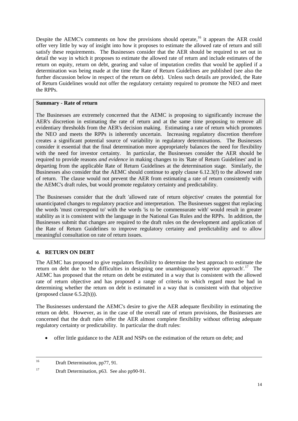Despite the AEMC's comments on how the provisions should operate,<sup>16</sup> it appears the AER could offer very little by way of insight into how it proposes to estimate the allowed rate of return and still satisfy these requirements. The Businesses consider that the AER should be required to set out in detail the way in which it proposes to estimate the allowed rate of return and include estimates of the return on equity, return on debt, gearing and value of imputation credits that would be applied if a determination was being made at the time the Rate of Return Guidelines are published (see also the further discussion below in respect of the return on debt). Unless such details are provided, the Rate of Return Guidelines would not offer the regulatory certainty required to promote the NEO and meet the RPPs.

#### **Summary - Rate of return**

The Businesses are extremely concerned that the AEMC is proposing to significantly increase the AER's discretion in estimating the rate of return and at the same time proposing to remove all evidentiary thresholds from the AER's decision making. Estimating a rate of return which promotes the NEO and meets the RPPs is inherently uncertain. Increasing regulatory discretion therefore creates a significant potential source of variability in regulatory determinations. The Businesses consider it essential that the final determination more appropriately balances the need for flexibility with the need for investor certainty. In particular, the Businesses consider the AER should be required to provide reasons *and evidence* in making changes to its 'Rate of Return Guidelines' and in departing from the applicable Rate of Return Guidelines at the determination stage. Similarly, the Businesses also consider that the AEMC should continue to apply clause 6.12.3(f) to the allowed rate of return. The clause would not prevent the AER from estimating a rate of return consistently with the AEMC's draft rules, but would promote regulatory certainty and predictability.

The Businesses consider that the draft 'allowed rate of return objective' creates the potential for unanticipated changes to regulatory practice and interpretation. The Businesses suggest that replacing the words 'must correspond to' with the words 'is to be commensurate with' would result in greater stability as it is consistent with the language in the National Gas Rules and the RPPs. In addition, the Businesses submit that changes are required to the draft rules on the development and application of the Rate of Return Guidelines to improve regulatory certainty and predictability and to allow meaningful consultation on rate of return issues.

# <span id="page-13-0"></span>**4. RETURN ON DEBT**

The AEMC has proposed to give regulators flexibility to determine the best approach to estimate the return on debt due to 'the difficulties in designing one unambiguously superior approach'.<sup>17</sup> The AEMC has proposed that the return on debt be estimated in a way that is consistent with the allowed rate of return objective and has proposed a range of criteria to which regard must be had in determining whether the return on debt is estimated in a way that is consistent with that objective (proposed clause 6.5.2(h))).

The Businesses understand the AEMC's desire to give the AER adequate flexibility in estimating the return on debt. However, as in the case of the overall rate of return provisions, the Businesses are concerned that the draft rules offer the AER almost complete flexibility without offering adequate regulatory certainty or predictability. In particular the draft rules:

offer little guidance to the AER and NSPs on the estimation of the return on debt; and

 $16$ Draft Determination, pp77, 91.

<sup>&</sup>lt;sup>17</sup> Draft Determination, p63. See also pp90-91.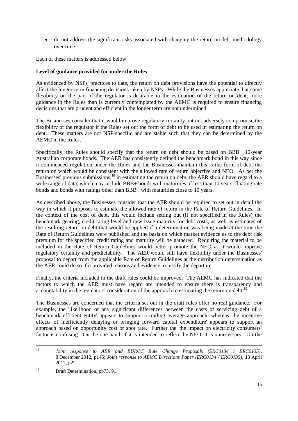do not address the significant risks associated with changing the return on debt methodology over time.

Each of these matters is addressed below.

### **Level of guidance provided for under the Rules**

As evidenced by NSPs' practices to date, the return on debt provisions have the potential to directly affect the longer-term financing decisions taken by NSPs. While the Businesses appreciate that some flexibility on the part of the regulator is desirable in the estimation of the return on debt, more guidance in the Rules than is currently contemplated by the AEMC is required to ensure financing decisions that are prudent and efficient in the longer term are not undermined.

The Businesses consider that it would improve regulatory certainty but not adversely compromise the flexibility of the regulator if the Rules set out the form of debt to be used in estimating the return on debt. These matters are not NSP-specific and are stable such that they can be determined by the AEMC in the Rules.

Specifically, the Rules should specify that the return on debt should be based on BBB+ 10-year Australian corporate bonds. The AER has consistently defined the benchmark bond in this way since it commenced regulation under the Rules and the Businesses maintain this is the form of debt the return on which would be consistent with the allowed rate of return objective and NEO. As per the Businesses' previous submissions,<sup>18</sup> in estimating the return on debt, the AER should have regard to a wide range of data, which may include BBB+ bonds with maturities of less than 10 years, floating rate bonds and bonds with ratings other than BBB+ with maturities close to 10 years.

As described above, the Businesses consider that the AER should be required to set out in detail the way in which it proposes to estimate the allowed rate of return in the Rate of Return Guidelines. In the context of the cost of debt, this would include setting out (if not specified in the Rules) the benchmark gearing, credit rating level and new issue maturity for debt costs, as well as estimates of the resulting return on debt that would be applied if a determination was being made at the time the Rate of Return Guidelines were published and the basis on which market evidence as to the debt risk premium for the specified credit rating and maturity will be gathered. Requiring the material to be included in the Rate of Return Guidelines would better promote the NEO as it would improve regulatory certainty and predictability. The AER would still have flexibility under the Businesses' proposal to depart from the applicable Rate of Return Guidelines at the distribution determination as the AER could do so if it provided reasons and evidence to justify the departure.

Finally, the criteria included in the draft rules could be improved. The AEMC has indicated that the factors to which the AER must have regard are intended to ensure there is transparency and accountability in the regulators' consideration of the approach to estimating the return on debt.<sup>19</sup>

The Businesses are concerned that the criteria set out in the draft rules offer no real guidance. For example, the 'likelihood of any significant differences between the costs of servicing debt of a benchmark efficient entity' appears to support a trailing average approach, whereas 'the incentive effects of inefficiently delaying or bringing forward capital expenditure' appears to support an approach based on opportunity cost or spot rate. Further the 'the impact on electricity consumers' factor is confusing. On the one hand, if it is intended to reflect the NEO, it is unnecessary. On the

<sup>18</sup> <sup>18</sup> *Joint response to AER and EURCC Rule Change Proposals (ERC0134 / ERC0135)*, 8 December 2012, p145; *Joint response to AEMC Directions Paper (ERC0134 / ERC0135)*, 13 April 2012, p22.

<sup>&</sup>lt;sup>19</sup> Draft Determination, pp73, 91.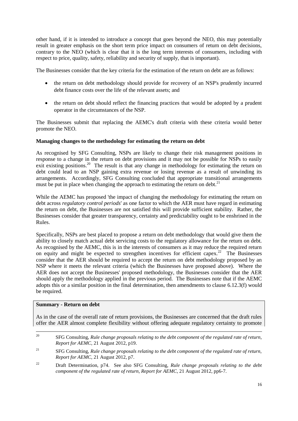other hand, if it is intended to introduce a concept that goes beyond the NEO, this may potentially result in greater emphasis on the short term price impact on consumers of return on debt decisions, contrary to the NEO (which is clear that it is the long term interests of consumers, including with respect to price, quality, safety, reliability and security of supply, that is important).

The Businesses consider that the key criteria for the estimation of the return on debt are as follows:

- the return on debt methodology should provide for recovery of an NSP's prudently incurred debt finance costs over the life of the relevant assets; and
- the return on debt should reflect the financing practices that would be adopted by a prudent operator in the circumstances of the NSP.

The Businesses submit that replacing the AEMC's draft criteria with these criteria would better promote the NEO.

#### **Managing changes to the methodology for estimating the return on debt**

As recognised by SFG Consulting, NSPs are likely to change their risk management positions in response to a change in the return on debt provisions and it may not be possible for NSPs to easily exit existing positions.<sup>20</sup> The result is that any change in methodology for estimating the return on debt could lead to an NSP gaining extra revenue or losing revenue as a result of unwinding its arrangements. Accordingly, SFG Consulting concluded that appropriate transitional arrangements must be put in place when changing the approach to estimating the return on debt.<sup>21</sup>

While the AEMC has proposed 'the impact of changing the methodology for estimating the return on debt across *regulatory control periods*' as one factor to which the AER must have regard in estimating the return on debt, the Businesses are not satisfied this will provide sufficient stability. Rather, the Businesses consider that greater transparency, certainty and predictability ought to be enshrined in the Rules.

Specifically, NSPs are best placed to propose a return on debt methodology that would give them the ability to closely match actual debt servicing costs to the regulatory allowance for the return on debt. As recognised by the AEMC, this is in the interests of consumers as it may reduce the required return on equity and might be expected to strengthen incentives for efficient capex.<sup>22</sup> The Businesses consider that the AER should be required to accept the return on debt methodology proposed by an NSP where it meets the relevant criteria (which the Businesses have proposed above). Where the AER does not accept the Businesses' proposed methodology, the Businesses consider that the AER should apply the methodology applied in the previous period. The Businesses note that if the AEMC adopts this or a similar position in the final determination, then amendments to clause 6.12.3(f) would be required.

#### **Summary - Return on debt**

As in the case of the overall rate of return provisions, the Businesses are concerned that the draft rules offer the AER almost complete flexibility without offering adequate regulatory certainty to promote

<sup>22</sup> Draft Determination, p74. See also SFG Consulting, *Rule change proposals relating to the debt component of the regulated rate of return, Report for AEMC*, 21 August 2012, pp6-7.

<sup>20</sup> <sup>20</sup> SFG Consulting, *Rule change proposals relating to the debt component of the regulated rate of return, Report for AEMC*, 21 August 2012, p19.

<sup>21</sup> SFG Consulting, *Rule change proposals relating to the debt component of the regulated rate of return, Report for AEMC*, 21 August 2012, p7.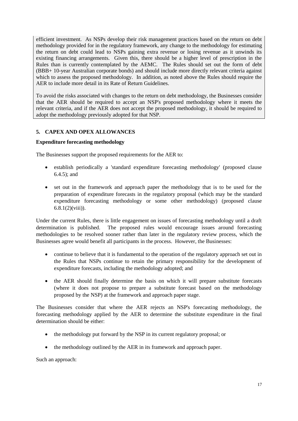efficient investment. As NSPs develop their risk management practices based on the return on debt methodology provided for in the regulatory framework, any change to the methodology for estimating the return on debt could lead to NSPs gaining extra revenue or losing revenue as it unwinds its existing financing arrangements. Given this, there should be a higher level of prescription in the Rules than is currently contemplated by the AEMC. The Rules should set out the form of debt (BBB+ 10-year Australian corporate bonds) and should include more directly relevant criteria against which to assess the proposed methodology. In addition, as noted above the Rules should require the AER to include more detail in its Rate of Return Guidelines.

To avoid the risks associated with changes to the return on debt methodology, the Businesses consider that the AER should be required to accept an NSP's proposed methodology where it meets the relevant criteria, and if the AER does not accept the proposed methodology, it should be required to adopt the methodology previously adopted for that NSP.

# <span id="page-16-0"></span>**5. CAPEX AND OPEX ALLOWANCES**

#### **Expenditure forecasting methodology**

The Businesses support the proposed requirements for the AER to:

- establish periodically a 'standard expenditure forecasting methodology' (proposed clause 6.4.5); and
- set out in the framework and approach paper the methodology that is to be used for the preparation of expenditure forecasts in the regulatory proposal (which may be the standard expenditure forecasting methodology or some other methodology) (proposed clause  $6.8.1(2)$ (viii)).

Under the current Rules, there is little engagement on issues of forecasting methodology until a draft determination is published. The proposed rules would encourage issues around forecasting methodologies to be resolved sooner rather than later in the regulatory review process, which the Businesses agree would benefit all participants in the process. However, the Businesses:

- continue to believe that it is fundamental to the operation of the regulatory approach set out in the Rules that NSPs continue to retain the primary responsibility for the development of expenditure forecasts, including the methodology adopted; and
- the AER should finally determine the basis on which it will prepare substitute forecasts (where it does not propose to prepare a substitute forecast based on the methodology proposed by the NSP) at the framework and approach paper stage.

The Businesses consider that where the AER rejects an NSP's forecasting methodology, the forecasting methodology applied by the AER to determine the substitute expenditure in the final determination should be either:

- the methodology put forward by the NSP in its current regulatory proposal; or
- the methodology outlined by the AER in its framework and approach paper.

Such an approach: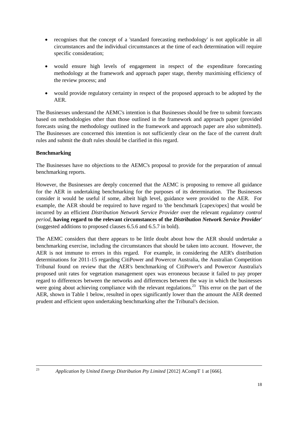- recognises that the concept of a 'standard forecasting methodology' is not applicable in all circumstances and the individual circumstances at the time of each determination will require specific consideration;
- would ensure high levels of engagement in respect of the expenditure forecasting methodology at the framework and approach paper stage, thereby maximising efficiency of the review process; and
- would provide regulatory certainty in respect of the proposed approach to be adopted by the AER.

The Businesses understand the AEMC's intention is that Businesses should be free to submit forecasts based on methodologies other than those outlined in the framework and approach paper (provided forecasts using the methodology outlined in the framework and approach paper are also submitted). The Businesses are concerned this intention is not sufficiently clear on the face of the current draft rules and submit the draft rules should be clarified in this regard.

# **Benchmarking**

The Businesses have no objections to the AEMC's proposal to provide for the preparation of annual benchmarking reports.

However, the Businesses are deeply concerned that the AEMC is proposing to remove all guidance for the AER in undertaking benchmarking for the purposes of its determination. The Businesses consider it would be useful if some, albeit high level, guidance were provided to the AER. For example, the AER should be required to have regard to 'the benchmark [capex/opex] that would be incurred by an efficient *Distribution Network Service Provider* over the relevant *regulatory control period*, **having regard to the relevant circumstances of the** *Distribution Network Service Provider'*  (suggested additions to proposed clauses 6.5.6 and 6.5.7 in bold).

The AEMC considers that there appears to be little doubt about how the AER should undertake a benchmarking exercise, including the circumstances that should be taken into account. However, the AER is not immune to errors in this regard. For example, in considering the AER's distribution determinations for 2011-15 regarding CitiPower and Powercor Australia, the Australian Competition Tribunal found on review that the AER's benchmarking of CitiPower's and Powercor Australia's proposed unit rates for vegetation management opex was erroneous because it failed to pay proper regard to differences between the networks and differences between the way in which the businesses were going about achieving compliance with the relevant regulations.<sup>23</sup> This error on the part of the AER, shown in Table 1 below, resulted in opex significantly lower than the amount the AER deemed prudent and efficient upon undertaking benchmarking after the Tribunal's decision.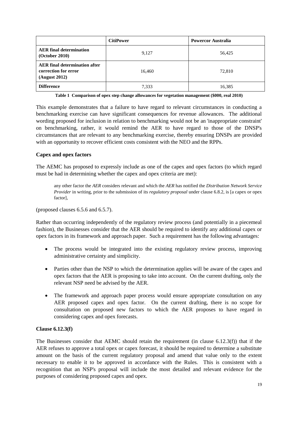|                                                                               | <b>CitiPower</b> | <b>Powercor Australia</b> |
|-------------------------------------------------------------------------------|------------------|---------------------------|
| <b>AER</b> final determination<br>(October 2010)                              | 9,127            | 56,425                    |
| <b>AER</b> final determination after<br>correction for error<br>(August 2012) | 16,460           | 72,810                    |
| <b>Difference</b>                                                             | 7,333            | 16,385                    |

**Table 1 Comparison of opex step change allowances for vegetation management (\$000, real 2010)**

This example demonstrates that a failure to have regard to relevant circumstances in conducting a benchmarking exercise can have significant consequences for revenue allowances. The additional wording proposed for inclusion in relation to benchmarking would not be an 'inappropriate constraint' on benchmarking, rather, it would remind the AER to have regard to those of the DNSP's circumstances that are relevant to any benchmarking exercise, thereby ensuring DNSPs are provided with an opportunity to recover efficient costs consistent with the NEO and the RPPs.

#### **Capex and opex factors**

The AEMC has proposed to expressly include as one of the capex and opex factors (to which regard must be had in determining whether the capex and opex criteria are met):

any other factor the *AER* considers relevant and which the *AER* has notified the *Distribution Network Service Provider* in writing, prior to the submission of its *regulatory proposal* under clause 6.8.2, is [a capex or opex factor],

(proposed clauses 6.5.6 and 6.5.7).

Rather than occurring independently of the regulatory review process (and potentially in a piecemeal fashion), the Businesses consider that the AER should be required to identify any additional capex or opex factors in its framework and approach paper. Such a requirement has the following advantages:

- The process would be integrated into the existing regulatory review process, improving administrative certainty and simplicity.
- Parties other than the NSP to which the determination applies will be aware of the capex and opex factors that the AER is proposing to take into account. On the current drafting, only the relevant NSP need be advised by the AER.
- The framework and approach paper process would ensure appropriate consultation on any AER proposed capex and opex factor. On the current drafting, there is no scope for consultation on proposed new factors to which the AER proposes to have regard in considering capex and opex forecasts.

#### **Clause 6.12.3(f)**

The Businesses consider that AEMC should retain the requirement (in clause 6.12.3(f)) that if the AER refuses to approve a total opex or capex forecast, it should be required to determine a substitute amount on the basis of the current regulatory proposal and amend that value only to the extent necessary to enable it to be approved in accordance with the Rules. This is consistent with a recognition that an NSP's proposal will include the most detailed and relevant evidence for the purposes of considering proposed capex and opex.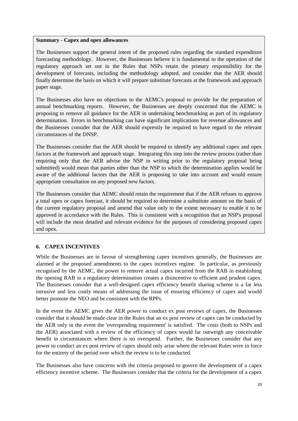#### **Summary - Capex and opex allowances**

The Businesses support the general intent of the proposed rules regarding the standard expenditure forecasting methodology. However, the Businesses believe it is fundamental to the operation of the regulatory approach set out in the Rules that NSPs retain the primary responsibility for the development of forecasts, including the methodology adopted, and consider that the AER should finally determine the basis on which it will prepare substitute forecasts at the framework and approach paper stage.

The Businesses also have no objections to the AEMC's proposal to provide for the preparation of annual benchmarking reports. However, the Businesses are deeply concerned that the AEMC is proposing to remove all guidance for the AER in undertaking benchmarking as part of its regulatory determination. Errors in benchmarking can have significant implications for revenue allowances and the Businesses consider that the AER should expressly be required to have regard to the relevant circumstances of the DNSP.

The Businesses consider that the AER should be required to identify any additional capex and opex factors at the framework and approach stage. Integrating this step into the review process (rather than requiring only that the AER advise the NSP in writing prior to the regulatory proposal being submitted) would mean that parties other than the NSP to which the determination applies would be aware of the additional factors that the AER is proposing to take into account and would ensure appropriate consultation on any proposed new factors.

The Businesses consider that AEMC should retain the requirement that if the AER refuses to approve a total opex or capex forecast, it should be required to determine a substitute amount on the basis of the current regulatory proposal and amend that value only to the extent necessary to enable it to be approved in accordance with the Rules. This is consistent with a recognition that an NSP's proposal will include the most detailed and relevant evidence for the purposes of considering proposed capex and opex.

# <span id="page-19-0"></span>**6. CAPEX INCENTIVES**

While the Businesses are in favour of strengthening capex incentives generally, the Businesses are alarmed at the proposed amendments to the capex incentives regime. In particular, as previously recognised by the AEMC, the power to remove actual capex incurred from the RAB in establishing the opening RAB in a regulatory determination creates a disincentive to efficient and prudent capex. The Businesses consider that a well-designed capex efficiency benefit sharing scheme is a far less intrusive and less costly means of addressing the issue of ensuring efficiency of capex and would better promote the NEO and be consistent with the RPPs.

In the event the AEMC gives the AER power to conduct ex post reviews of capex, the Businesses consider that it should be made clear in the Rules that an ex post review of capex can be conducted by the AER only in the event the 'overspending requirement' is satisfied. The costs (both to NSPs and the AER) associated with a review of the efficiency of capex would far outweigh any conceivable benefit in circumstances where there is no overspend. Further, the Businesses consider that any power to conduct an ex post review of capex should only arise where the relevant Rules were in force for the entirety of the period over which the review is to be conducted.

The Businesses also have concerns with the criteria proposed to govern the development of a capex efficiency incentive scheme. The Businesses consider that the criteria for the development of a capex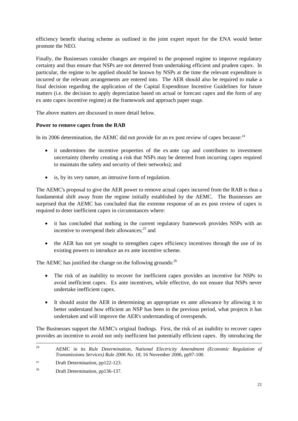efficiency benefit sharing scheme as outlined in the joint expert report for the ENA would better promote the NEO.

Finally, the Businesses consider changes are required to the proposed regime to improve regulatory certainty and thus ensure that NSPs are not deterred from undertaking efficient and prudent capex. In particular, the regime to be applied should be known by NSPs at the time the relevant expenditure is incurred or the relevant arrangements are entered into. The AER should also be required to make a final decision regarding the application of the Capital Expenditure Incentive Guidelines for future matters (i.e. the decision to apply depreciation based on actual or forecast capex and the form of any ex ante capex incentive regime) at the framework and approach paper stage.

The above matters are discussed in more detail below.

#### **Power to remove capex from the RAB**

In its 2006 determination, the AEMC did not provide for an ex post review of capex because: $24$ 

- it undermines the incentive properties of the ex ante cap and contributes to investment uncertainty (thereby creating a risk that NSPs may be deterred from incurring capex required to maintain the safety and security of their networks); and
- is, by its very nature, an intrusive form of regulation.

The AEMC's proposal to give the AER power to remove actual capex incurred from the RAB is thus a fundamental shift away from the regime initially established by the AEMC. The Businesses are surprised that the AEMC has concluded that the extreme response of an ex post review of capex is required to deter inefficient capex in circumstances where:

- it has concluded that nothing in the current regulatory framework provides NSPs with an incentive to overspend their allowances; $^{25}$  and
- the AER has not yet sought to strengthen capex efficiency incentives through the use of its existing powers to introduce an ex ante incentive scheme.

The AEMC has justified the change on the following grounds:<sup>26</sup>

- The risk of an inability to recover for inefficient capex provides an incentive for NSPs to avoid inefficient capex. Ex ante incentives, while effective, do not ensure that NSPs never undertake inefficient capex.
- It should assist the AER in determining an appropriate ex ante allowance by allowing it to better understand how efficient an NSP has been in the previous period, what projects it has undertaken and will improve the AER's understanding of overspends.

The Businesses support the AEMC's original findings. First, the risk of an inability to recover capex provides an incentive to avoid not only inefficient but potentially efficient capex. By introducing the

 $24$ <sup>24</sup> AEMC in its *Rule Determination, National Electricity Amendment (Economic Regulation of Transmissions Services) Rule 2006 No. 18*, 16 November 2006, pp97-100.

<sup>&</sup>lt;sup>25</sup> Draft Determination, pp122-123.

<sup>&</sup>lt;sup>26</sup> Draft Determination, pp136-137.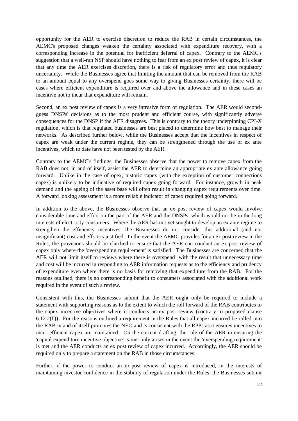opportunity for the AER to exercise discretion to reduce the RAB in certain circumstances, the AEMC's proposed changes weaken the certainty associated with expenditure recovery, with a corresponding increase in the potential for inefficient deferral of capex. Contrary to the AEMC's suggestion that a well-run NSP should have nothing to fear from an ex post review of capex, it is clear that any time the AER exercises discretion, there is a risk of regulatory error and thus regulatory uncertainty. While the Businesses agree that limiting the amount that can be removed from the RAB to an amount equal to any overspend goes some way to giving Businesses certainty, there will be cases where efficient expenditure is required over and above the allowance and in these cases an incentive not to incur that expenditure will remain.

Second, an ex post review of capex is a very intrusive form of regulation. The AER would secondguess DNSPs' decisions as to the most prudent and efficient course, with significantly adverse consequences for the DNSP if the AER disagrees. This is contrary to the theory underpinning CPI-X regulation, which is that regulated businesses are best placed to determine how best to manage their networks. As described further below, while the Businesses accept that the incentives in respect of capex are weak under the current regime, they can be strengthened through the use of ex ante incentives, which to date have not been tested by the AER.

Contrary to the AEMC's findings, the Businesses observe that the power to remove capex from the RAB does not, in and of itself, assist the AER to determine an appropriate ex ante allowance going forward. Unlike in the case of opex, historic capex (with the exception of customer connections capex) is unlikely to be indicative of required capex going forward. For instance, growth in peak demand and the ageing of the asset base will often result in changing capex requirements over time. A forward looking assessment is a more reliable indicator of capex required going forward.

In addition to the above, the Businesses observe that an ex post review of capex would involve considerable time and effort on the part of the AER and the DNSPs, which would not be in the long interests of electricity consumers. Where the AER has not yet sought to develop an ex ante regime to strengthen the efficiency incentives, the Businesses do not consider this additional (and not insignificant) cost and effort is justified. In the event the AEMC provides for an ex post review in the Rules, the provisions should be clarified to ensure that the AER can conduct an ex post review of capex only where the 'overspending requirement' is satisfied. The Businesses are concerned that the AER will not limit itself to reviews where there is overspend with the result that unnecessary time and cost will be incurred in responding to AER information requests as to the efficiency and prudency of expenditure even where there is no basis for removing that expenditure from the RAB. For the reasons outlined, there is no corresponding benefit to consumers associated with the additional work required in the event of such a review.

Consistent with this, the Businesses submit that the AER ought only be required to include a statement with supporting reasons as to the extent to which the roll forward of the RAB contributes to the capex incentive objectives where it conducts an ex post review (contrary to proposed clause 6.12.2(b)). For the reasons outlined a requirement in the Rules that all capex incurred be rolled into the RAB in and of itself promotes the NEO and is consistent with the RPPs as it ensures incentives to incur efficient capex are maintained. On the current drafting, the role of the AER in ensuring the 'capital expenditure incentive objective' is met only arises in the event the 'overspending requirement' is met and the AER conducts an ex post review of capex incurred. Accordingly, the AER should be required only to prepare a statement on the RAB in those circumstances.

Further, if the power to conduct an ex post review of capex is introduced, in the interests of maintaining investor confidence in the stability of regulation under the Rules, the Businesses submit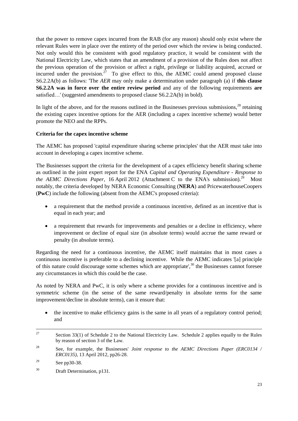that the power to remove capex incurred from the RAB (for any reason) should only exist where the relevant Rules were in place over the entirety of the period over which the review is being conducted. Not only would this be consistent with good regulatory practice, it would be consistent with the National Electricity Law, which states that an amendment of a provision of the Rules does not affect the previous operation of the provision or affect a right, privilege or liability acquired, accrued or incurred under the provision.<sup>27</sup> To give effect to this, the AEMC could amend proposed clause S6.2.2A(b) as follows: 'The *AER* may only make a determination under paragraph (a) if **this clause S6.2.2A was in force over the entire review period** and any of the following requirements **are** satisfied...' (suggested amendments to proposed clause S6.2.2A(b) in bold).

In light of the above, and for the reasons outlined in the Businesses previous submissions,  $^{28}$  retaining the existing capex incentive options for the AER (including a capex incentive scheme) would better promote the NEO and the RPPs.

# **Criteria for the capex incentive scheme**

The AEMC has proposed 'capital expenditure sharing scheme principles' that the AER must take into account in developing a capex incentive scheme.

The Businesses support the criteria for the development of a capex efficiency benefit sharing scheme as outlined in the joint expert report for the ENA *Capital and Operating Expenditure - Response to the AEMC Directions Paper*, 16 April 2012 (Attachment C to the ENA's submission).<sup>29</sup> Most notably, the criteria developed by NERA Economic Consulting (**NERA**) and PricewaterhouseCoopers (**PwC**) include the following (absent from the AEMC's proposed criteria):

- a requirement that the method provide a continuous incentive, defined as an incentive that is equal in each year; and
- a requirement that rewards for improvements and penalties or a decline in efficiency, where improvement or decline of equal size (in absolute terms) would accrue the same reward or penalty (in absolute terms).

Regarding the need for a continuous incentive, the AEMC itself maintains that in most cases a continuous incentive is preferable to a declining incentive. While the AEMC indicates '[a] principle of this nature could discourage some schemes which are appropriate',<sup>30</sup> the Businesses cannot foresee any circumstances in which this could be the case.

As noted by NERA and PwC, it is only where a scheme provides for a continuous incentive and is symmetric scheme (in the sense of the same reward/penalty in absolute terms for the same improvement/decline in absolute terms), can it ensure that:

 the incentive to make efficiency gains is the same in all years of a regulatory control period; and

<sup>27</sup> Section 33(1) of Schedule 2 to the National Electricity Law. Schedule 2 applies equally to the Rules by reason of section 3 of the Law.

<sup>28</sup> See, for example, the Businesses' *Joint response to the AEMC Directions Paper (ERC0134 / ERC0135)*, 13 April 2012, pp26-28.

<sup>&</sup>lt;sup>29</sup> See pp30-38.

<sup>30</sup> Draft Determination, p131.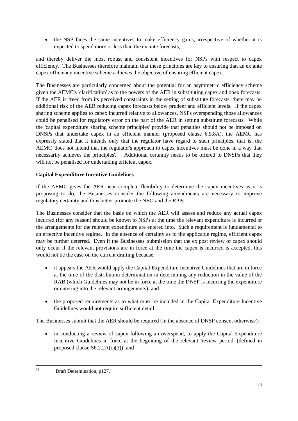• the NSP faces the same incentives to make efficiency gains, irrespective of whether it is expected to spend more or less than the ex ante forecasts,

and thereby deliver the most robust and consistent incentives for NSPs with respect to capex efficiency. The Businesses therefore maintain that these principles are key to ensuring that an ex ante capex efficiency incentive scheme achieves the objective of ensuring efficient capex.

The Businesses are particularly concerned about the potential for an asymmetric efficiency scheme given the AEMC's 'clarification' as to the powers of the AER in substituting capex and opex forecasts. If the AER is freed from its perceived constraints in the setting of substitute forecasts, there may be additional risk of the AER reducing capex forecasts below prudent and efficient levels. If the capex sharing scheme applies to capex incurred relative to allowances, NSPs overspending those allowances could be penalised for regulatory error on the part of the AER in setting substitute forecasts. While the 'capital expenditure sharing scheme principles' provide that penalties should not be imposed on DNSPs that undertake capex in an efficient manner (proposed clause 6.5.8A), the AEMC has expressly stated that it intends only that the regulator have regard to such principles, that is, the AEMC 'does not intend that the regulator's approach to capex incentives must be done in a way that necessarily achieves the principles'.<sup>31</sup> Additional certainty needs to be offered to DNSPs that they will not be penalised for undertaking efficient capex.

# **Capital Expenditure Incentive Guidelines**

If the AEMC gives the AER near complete flexibility to determine the capex incentives as it is proposing to do, the Businesses consider the following amendments are necessary to improve regulatory certainty and thus better promote the NEO and the RPPs.

The Businesses consider that the basis on which the AER will assess and reduce any actual capex incurred (for any reason) should be known to NSPs at the time the relevant expenditure is incurred or the arrangements for the relevant expenditure are entered into. Such a requirement is fundamental to an effective incentive regime. In the absence of certainty as to the applicable regime, efficient capex may be further deterred. Even if the Businesses' submission that the ex post review of capex should only occur if the relevant provisions are in force at the time the capex is incurred is accepted, this would not be the case on the current drafting because:

- it appears the AER would apply the Capital Expenditure Incentive Guidelines that are in force at the time of the distribution determination in determining any reduction in the value of the RAB (which Guidelines may not be in force at the time the DNSP is incurring the expenditure or entering into the relevant arrangements); and
- the proposed requirements as to what must be included in the Capital Expenditure Incentive Guidelines would not require sufficient detail.

The Businesses submit that the AER should be required (in the absence of DNSP consent otherwise):

• in conducting a review of capex following an overspend, to apply the Capital Expenditure Incentive Guidelines in force at the beginning of the relevant 'review period' (defined in proposed clause  $S6.2.2A(c)(3)$ ; and

 $31$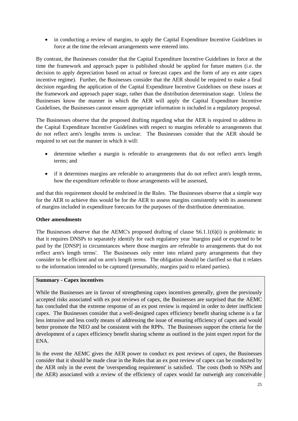in conducting a review of margins, to apply the Capital Expenditure Incentive Guidelines in force at the time the relevant arrangements were entered into.

By contrast, the Businesses consider that the Capital Expenditure Incentive Guidelines in force at the time the framework and approach paper is published should be applied for future matters (i.e. the decision to apply depreciation based on actual or forecast capex and the form of any ex ante capex incentive regime). Further, the Businesses consider that the AER should be required to make a final decision regarding the application of the Capital Expenditure Incentive Guidelines on these issues at the framework and approach paper stage, rather than the distribution determination stage. Unless the Businesses know the manner in which the AER will apply the Capital Expenditure Incentive Guidelines, the Businesses cannot ensure appropriate information is included in a regulatory proposal.

The Businesses observe that the proposed drafting regarding what the AER is required to address in the Capital Expenditure Incentive Guidelines with respect to margins referable to arrangements that do not reflect arm's lengths terms is unclear. The Businesses consider that the AER should be required to set out the manner in which it will:

- determine whether a margin is referable to arrangements that do not reflect arm's length terms; and
- if it determines margins are referable to arrangements that do not reflect arm's length terms, how the expenditure referable to those arrangements will be assessed,

and that this requirement should be enshrined in the Rules. The Businesses observe that a simple way for the AER to achieve this would be for the AER to assess margins consistently with its assessment of margins included in expenditure forecasts for the purposes of the distribution determination.

#### **Other amendments**

The Businesses observe that the AEMC's proposed drafting of clause S6.1.1(6)(i) is problematic in that it requires DNSPs to separately identify for each regulatory year 'margins paid or expected to be paid by the [DNSP] in circumstances where those margins are referable to arrangements that do not reflect arm's length terms'. The Businesses only enter into related party arrangements that they consider to be efficient and on arm's length terms. The obligation should be clarified so that it relates to the information intended to be captured (presumably, margins paid to related parties).

#### **Summary - Capex incentives**

While the Businesses are in favour of strengthening capex incentives generally, given the previously accepted risks associated with ex post reviews of capex, the Businesses are surprised that the AEMC has concluded that the extreme response of an ex post review is required in order to deter inefficient capex. The Businesses consider that a well-designed capex efficiency benefit sharing scheme is a far less intrusive and less costly means of addressing the issue of ensuring efficiency of capex and would better promote the NEO and be consistent with the RPPs. The Businesses support the criteria for the development of a capex efficiency benefit sharing scheme as outlined in the joint expert report for the ENA.

In the event the AEMC gives the AER power to conduct ex post reviews of capex, the Businesses consider that it should be made clear in the Rules that an ex post review of capex can be conducted by the AER only in the event the 'overspending requirement' is satisfied. The costs (both to NSPs and the AER) associated with a review of the efficiency of capex would far outweigh any conceivable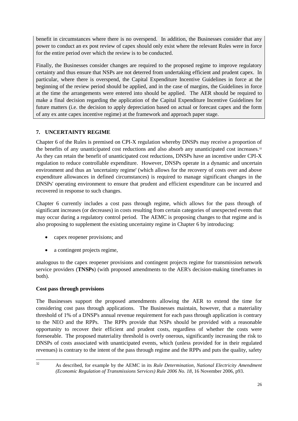benefit in circumstances where there is no overspend. In addition, the Businesses consider that any power to conduct an ex post review of capex should only exist where the relevant Rules were in force for the entire period over which the review is to be conducted.

Finally, the Businesses consider changes are required to the proposed regime to improve regulatory certainty and thus ensure that NSPs are not deterred from undertaking efficient and prudent capex. In particular, where there is overspend, the Capital Expenditure Incentive Guidelines in force at the beginning of the review period should be applied, and in the case of margins, the Guidelines in force at the time the arrangements were entered into should be applied. The AER should be required to make a final decision regarding the application of the Capital Expenditure Incentive Guidelines for future matters (i.e. the decision to apply depreciation based on actual or forecast capex and the form of any ex ante capex incentive regime) at the framework and approach paper stage.

# <span id="page-25-0"></span>**7. UNCERTAINTY REGIME**

Chapter 6 of the Rules is premised on CPI-X regulation whereby DNSPs may receive a proportion of the benefits of any unanticipated cost reductions and also absorb any unanticipated cost increases.<sup>32</sup> As they can retain the benefit of unanticipated cost reductions, DNSPs have an incentive under CPI-X regulation to reduce controllable expenditure. However, DNSPs operate in a dynamic and uncertain environment and thus an 'uncertainty regime' (which allows for the recovery of costs over and above expenditure allowances in defined circumstances) is required to manage significant changes in the DNSPs' operating environment to ensure that prudent and efficient expenditure can be incurred and recovered in response to such changes.

Chapter 6 currently includes a cost pass through regime, which allows for the pass through of significant increases (or decreases) in costs resulting from certain categories of unexpected events that may occur during a regulatory control period. The AEMC is proposing changes to that regime and is also proposing to supplement the existing uncertainty regime in Chapter 6 by introducing:

- capex reopener provisions; and
- a contingent projects regime,

analogous to the capex reopener provisions and contingent projects regime for transmission network service providers (**TNSPs**) (with proposed amendments to the AER's decision-making timeframes in both).

# **Cost pass through provisions**

The Businesses support the proposed amendments allowing the AER to extend the time for considering cost pass through applications. The Businesses maintain, however, that a materiality threshold of 1% of a DNSP's annual revenue requirement for each pass through application is contrary to the NEO and the RPPs. The RPPs provide that NSPs should be provided with a reasonable opportunity to recover their efficient and prudent costs, regardless of whether the costs were foreseeable. The proposed materiality threshold is overly onerous, significantly increasing the risk to DNSPs of costs associated with unanticipated events, which (unless provided for in their regulated revenues) is contrary to the intent of the pass through regime and the RPPs and puts the quality, safety

 $32$ 

<sup>32</sup> As described, for example by the AEMC in its *Rule Determination, National Electricity Amendment (Economic Regulation of Transmissions Services) Rule 2006 No. 18*, 16 November 2006, p93.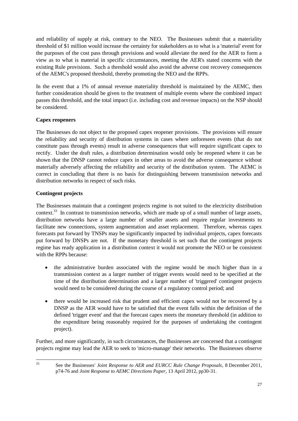and reliability of supply at risk, contrary to the NEO. The Businesses submit that a materiality threshold of \$1 million would increase the certainty for stakeholders as to what is a 'material' event for the purposes of the cost pass through provisions and would alleviate the need for the AER to form a view as to what is material in specific circumstances, meeting the AER's stated concerns with the existing Rule provisions. Such a threshold would also avoid the adverse cost recovery consequences of the AEMC's proposed threshold, thereby promoting the NEO and the RPPs.

In the event that a 1% of annual revenue materiality threshold is maintained by the AEMC, then further consideration should be given to the treatment of multiple events where the combined impact passes this threshold, and the total impact (i.e. including cost and revenue impacts) on the NSP should be considered.

# **Capex reopeners**

The Businesses do not object to the proposed capex reopener provisions. The provisions will ensure the reliability and security of distribution systems in cases where unforeseen events (that do not constitute pass through events) result in adverse consequences that will require significant capex to rectify. Under the draft rules, a distribution determination would only be reopened where it can be shown that the DNSP cannot reduce capex in other areas to avoid the adverse consequence without materially adversely affecting the reliability and security of the distribution system. The AEMC is correct in concluding that there is no basis for distinguishing between transmission networks and distribution networks in respect of such risks.

# **Contingent projects**

The Businesses maintain that a contingent projects regime is not suited to the electricity distribution context.<sup>33</sup> In contrast to transmission networks, which are made up of a small number of large assets, distribution networks have a large number of smaller assets and require regular investments to facilitate new connections, system augmentation and asset replacement. Therefore, whereas capex forecasts put forward by TNSPs may be significantly impacted by individual projects, capex forecasts put forward by DNSPs are not. If the monetary threshold is set such that the contingent projects regime has ready application in a distribution context it would not promote the NEO or be consistent with the RPPs because:

- the administrative burden associated with the regime would be much higher than in a transmission context as a larger number of trigger events would need to be specified at the time of the distribution determination and a larger number of 'triggered' contingent projects would need to be considered during the course of a regulatory control period; and
- there would be increased risk that prudent and efficient capex would not be recovered by a DNSP as the AER would have to be satisfied that the event falls within the definition of the defined 'trigger event' and that the forecast capex meets the monetary threshold (in addition to the expenditure being reasonably required for the purposes of undertaking the contingent project).

Further, and more significantly, in such circumstances, the Businesses are concerned that a contingent projects regime may lead the AER to seek to 'micro-manage' their networks. The Businesses observe

 $33$ 

<sup>33</sup> See the Businesses' *Joint Response to AER and EURCC Rule Change Proposals*, 8 December 2011, p74-76 and *Joint Response to AEMC Directions Paper*, 13 April 2012, pp30-31.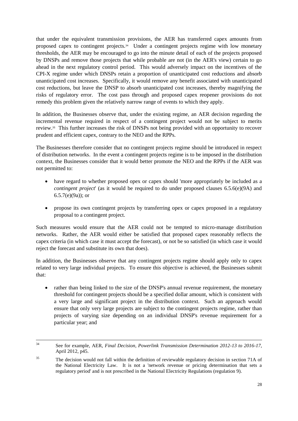that under the equivalent transmission provisions, the AER has transferred capex amounts from proposed capex to contingent projects.<sup>34</sup> Under a contingent projects regime with low monetary thresholds, the AER may be encouraged to go into the minute detail of each of the projects proposed by DNSPs and remove those projects that while probable are not (in the AER's view) certain to go ahead in the next regulatory control period. This would adversely impact on the incentives of the CPI-X regime under which DNSPs retain a proportion of unanticipated cost reductions and absorb unanticipated cost increases. Specifically, it would remove any benefit associated with unanticipated cost reductions, but leave the DNSP to absorb unanticipated cost increases, thereby magnifying the risks of regulatory error. The cost pass through and proposed capex reopener provisions do not remedy this problem given the relatively narrow range of events to which they apply.

In addition, the Businesses observe that, under the existing regime, an AER decision regarding the incremental revenue required in respect of a contingent project would not be subject to merits review.<sup>35</sup> This further increases the risk of DNSPs not being provided with an opportunity to recover prudent and efficient capex, contrary to the NEO and the RPPs.

The Businesses therefore consider that no contingent projects regime should be introduced in respect of distribution networks. In the event a contingent projects regime is to be imposed in the distribution context, the Businesses consider that it would better promote the NEO and the RPPs if the AER was not permitted to:

- have regard to whether proposed opex or capex should 'more appropriately be included as a *contingent project*' (as it would be required to do under proposed clauses 6.5.6(e)(9A) and 6.5.7(e)(9a)); or
- propose its own contingent projects by transferring opex or capex proposed in a regulatory proposal to a contingent project.

Such measures would ensure that the AER could not be tempted to micro-manage distribution networks. Rather, the AER would either be satisfied that proposed capex reasonably reflects the capex criteria (in which case it must accept the forecast), or not be so satisfied (in which case it would reject the forecast and substitute its own that does).

In addition, the Businesses observe that any contingent projects regime should apply only to capex related to very large individual projects. To ensure this objective is achieved, the Businesses submit that:

• rather than being linked to the size of the DNSP's annual revenue requirement, the monetary threshold for contingent projects should be a specified dollar amount, which is consistent with a very large and significant project in the distribution context. Such an approach would ensure that only very large projects are subject to the contingent projects regime, rather than projects of varying size depending on an individual DNSP's revenue requirement for a particular year; and

 $34$ <sup>34</sup> See for example, AER, *Final Decision, Powerlink Transmission Determination 2012-13 to 2016-17*, April 2012, p45.

<sup>&</sup>lt;sup>35</sup> The decision would not fall within the definition of reviewable regulatory decision in section 71A of the National Electricity Law. It is not a 'network revenue or pricing determination that sets a regulatory period' and is not prescribed in the National Electricity Regulations (regulation 9).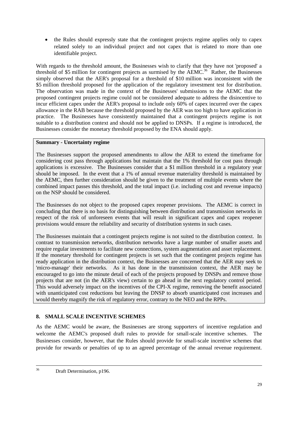• the Rules should expressly state that the contingent projects regime applies only to capex related solely to an individual project and not capex that is related to more than one identifiable project.

With regards to the threshold amount, the Businesses wish to clarify that they have not 'proposed' a threshold of \$5 million for contingent projects as surmised by the AEMC.<sup>36</sup> Rather, the Businesses simply observed that the AER's proposal for a threshold of \$10 million was inconsistent with the \$5 million threshold proposed for the application of the regulatory investment test for distribution. The observation was made in the context of the Businesses' submissions to the AEMC that the proposed contingent projects regime could not be considered adequate to address the disincentive to incur efficient capex under the AER's proposal to include only 60% of capex incurred over the capex allowance in the RAB because the threshold proposed by the AER was too high to have application in practice. The Businesses have consistently maintained that a contingent projects regime is not suitable to a distribution context and should not be applied to DNSPs. If a regime is introduced, the Businesses consider the monetary threshold proposed by the ENA should apply.

# **Summary - Uncertainty regime**

The Businesses support the proposed amendments to allow the AER to extend the timeframe for considering cost pass through applications but maintain that the 1% threshold for cost pass through applications is excessive. The Businesses consider that a \$1 million threshold in a regulatory year should be imposed. In the event that a 1% of annual revenue materiality threshold is maintained by the AEMC, then further consideration should be given to the treatment of multiple events where the combined impact passes this threshold, and the total impact (i.e. including cost and revenue impacts) on the NSP should be considered.

The Businesses do not object to the proposed capex reopener provisions. The AEMC is correct in concluding that there is no basis for distinguishing between distribution and transmission networks in respect of the risk of unforeseen events that will result in significant capex and capex reopener provisions would ensure the reliability and security of distribution systems in such cases.

The Businesses maintain that a contingent projects regime is not suited to the distribution context. In contrast to transmission networks, distribution networks have a large number of smaller assets and require regular investments to facilitate new connections, system augmentation and asset replacement. If the monetary threshold for contingent projects is set such that the contingent projects regime has ready application in the distribution context, the Businesses are concerned that the AER may seek to 'micro-manage' their networks. As it has done in the transmission context, the AER may be encouraged to go into the minute detail of each of the projects proposed by DNSPs and remove those projects that are not (in the AER's view) certain to go ahead in the next regulatory control period. This would adversely impact on the incentives of the CPI-X regime, removing the benefit associated with unanticipated cost reductions but leaving the DNSP to absorb unanticipated cost increases and would thereby magnify the risk of regulatory error, contrary to the NEO and the RPPs.

# <span id="page-28-0"></span>**8. SMALL SCALE INCENTIVE SCHEMES**

As the AEMC would be aware, the Businesses are strong supporters of incentive regulation and welcome the AEMC's proposed draft rules to provide for small-scale incentive schemes. The Businesses consider, however, that the Rules should provide for small-scale incentive schemes that provide for rewards or penalties of up to an agreed percentage of the annual revenue requirement.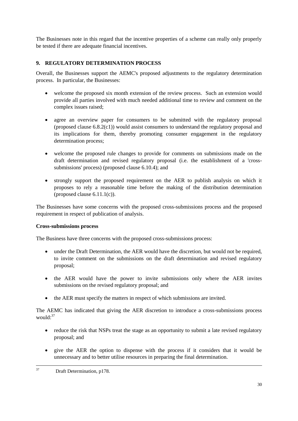The Businesses note in this regard that the incentive properties of a scheme can really only properly be tested if there are adequate financial incentives.

# <span id="page-29-0"></span>**9. REGULATORY DETERMINATION PROCESS**

Overall, the Businesses support the AEMC's proposed adjustments to the regulatory determination process. In particular, the Businesses:

- welcome the proposed six month extension of the review process. Such an extension would provide all parties involved with much needed additional time to review and comment on the complex issues raised;
- agree an overview paper for consumers to be submitted with the regulatory proposal (proposed clause 6.8.2(c1)) would assist consumers to understand the regulatory proposal and its implications for them, thereby promoting consumer engagement in the regulatory determination process;
- welcome the proposed rule changes to provide for comments on submissions made on the draft determination and revised regulatory proposal (i.e. the establishment of a 'crosssubmissions' process) (proposed clause 6.10.4); and
- strongly support the proposed requirement on the AER to publish analysis on which it proposes to rely a reasonable time before the making of the distribution determination (proposed clause  $6.11.1(c)$ ).

The Businesses have some concerns with the proposed cross-submissions process and the proposed requirement in respect of publication of analysis.

# **Cross-submissions process**

The Business have three concerns with the proposed cross-submissions process:

- under the Draft Determination, the AER would have the discretion, but would not be required, to invite comment on the submissions on the draft determination and revised regulatory proposal;
- the AER would have the power to invite submissions only where the AER invites submissions on the revised regulatory proposal; and
- the AER must specify the matters in respect of which submissions are invited.

The AEMC has indicated that giving the AER discretion to introduce a cross-submissions process would: $37$ 

- reduce the risk that NSPs treat the stage as an opportunity to submit a late revised regulatory proposal; and
- give the AER the option to dispense with the process if it considers that it would be unnecessary and to better utilise resources in preparing the final determination.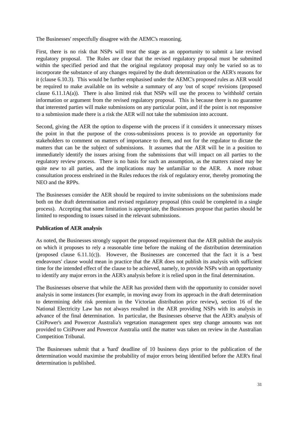The Businesses' respectfully disagree with the AEMC's reasoning.

First, there is no risk that NSPs will treat the stage as an opportunity to submit a late revised regulatory proposal. The Rules are clear that the revised regulatory proposal must be submitted within the specified period and that the original regulatory proposal may only be varied so as to incorporate the substance of any changes required by the draft determination or the AER's reasons for it (clause 6.10.3). This would be further emphasised under the AEMC's proposed rules as AER would be required to make available on its website a summary of any 'out of scope' revisions (proposed clause 6.11.1A(a)). There is also limited risk that NSPs will use the process to 'withhold' certain information or argument from the revised regulatory proposal. This is because there is no guarantee that interested parties will make submissions on any particular point, and if the point is not responsive to a submission made there is a risk the AER will not take the submission into account.

Second, giving the AER the option to dispense with the process if it considers it unnecessary misses the point in that the purpose of the cross-submissions process is to provide an opportunity for stakeholders to comment on matters of importance to them, and not for the regulator to dictate the matters that can be the subject of submissions. It assumes that the AER will be in a position to immediately identify the issues arising from the submissions that will impact on all parties to the regulatory review process. There is no basis for such an assumption, as the matters raised may be quite new to all parties, and the implications may be unfamiliar to the AER. A more robust consultation process enshrined in the Rules reduces the risk of regulatory error, thereby promoting the NEO and the RPPs.

The Businesses consider the AER should be required to invite submissions on the submissions made both on the draft determination and revised regulatory proposal (this could be completed in a single process). Accepting that some limitation is appropriate, the Businesses propose that parties should be limited to responding to issues raised in the relevant submissions.

# **Publication of AER analysis**

As noted, the Businesses strongly support the proposed requirement that the AER publish the analysis on which it proposes to rely a reasonable time before the making of the distribution determination (proposed clause  $6.11.1(c)$ ). However, the Businesses are concerned that the fact it is a 'best endeavours' clause would mean in practice that the AER does not publish its analysis with sufficient time for the intended effect of the clause to be achieved, namely, to provide NSPs with an opportunity to identify any major errors in the AER's analysis before it is relied upon in the final determination.

The Businesses observe that while the AER has provided them with the opportunity to consider novel analysis in some instances (for example, in moving away from its approach in the draft determination to determining debt risk premium in the Victorian distribution price review), section 16 of the National Electricity Law has not always resulted in the AER providing NSPs with its analysis in advance of the final determination. In particular, the Businesses observe that the AER's analysis of CitiPower's and Powercor Australia's vegetation management opex step change amounts was not provided to CitiPower and Powercor Australia until the matter was taken on review in the Australian Competition Tribunal.

The Businesses submit that a 'hard' deadline of 10 business days prior to the publication of the determination would maximise the probability of major errors being identified before the AER's final determination is published.